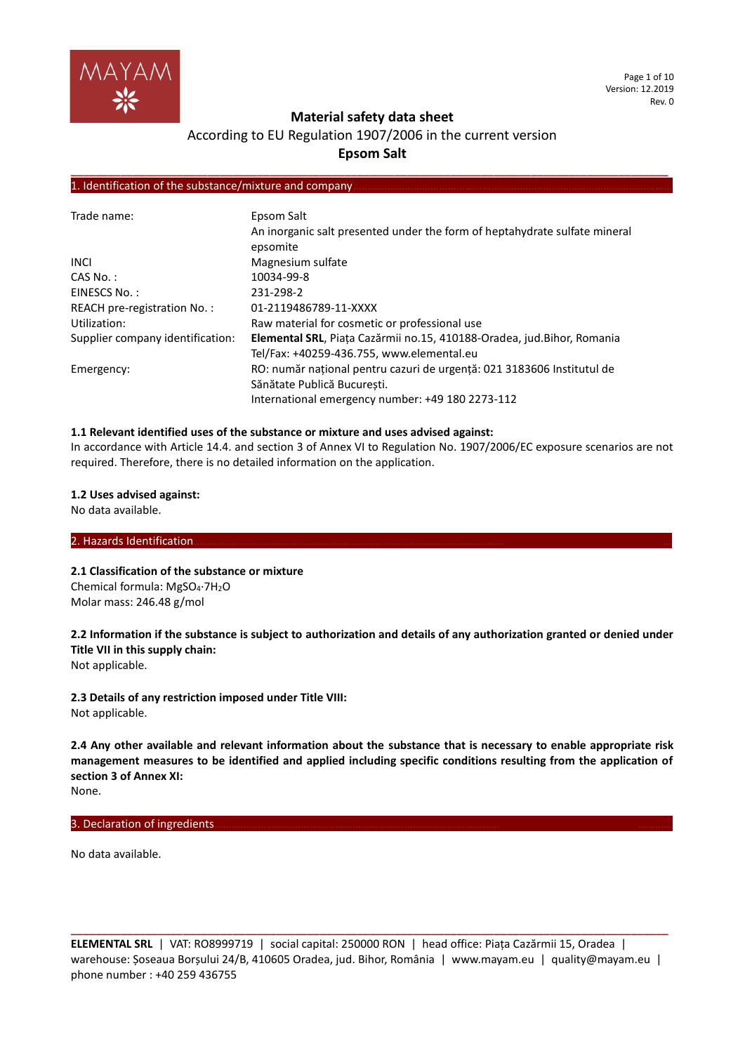

Page 1 of 10 Version: 12.2019 Rev. 0

## **Material safety data sheet**

# According to EU Regulation 1907/2006 in the current version **Epsom Salt**

**\_\_\_\_\_\_\_\_\_\_\_\_\_\_\_\_\_\_\_\_\_\_\_\_\_\_\_\_\_\_\_\_\_\_\_\_\_\_\_\_\_\_\_\_\_\_\_\_\_\_\_\_\_\_\_\_\_\_\_\_\_\_\_\_\_\_\_\_\_\_\_\_\_\_\_\_\_\_\_\_\_\_\_\_\_\_\_\_\_\_\_\_\_\_\_\_**

## 1. Identification of the substance/mixture and company

| Trade name:                      | Epsom Salt<br>An inorganic salt presented under the form of heptahydrate sulfate mineral<br>epsomite |
|----------------------------------|------------------------------------------------------------------------------------------------------|
| <b>INCL</b>                      | Magnesium sulfate                                                                                    |
| $CAS No.$ :                      | 10034-99-8                                                                                           |
| EINESCS No.:                     | 231-298-2                                                                                            |
| REACH pre-registration No.:      | 01-2119486789-11-XXXX                                                                                |
| Utilization:                     | Raw material for cosmetic or professional use                                                        |
| Supplier company identification: | Elemental SRL, Piața Cazărmii no.15, 410188-Oradea, jud. Bihor, Romania                              |
|                                  | Tel/Fax: +40259-436.755, www.elemental.eu                                                            |
| Emergency:                       | RO: număr național pentru cazuri de urgență: 021 3183606 Institutul de                               |
|                                  | Sănătate Publică București.                                                                          |
|                                  | International emergency number: +49 180 2273-112                                                     |

## **1.1 Relevant identified uses of the substance or mixture and uses advised against:**

In accordance with Article 14.4. and section 3 of Annex VI to Regulation No. 1907/2006/EC exposure scenarios are not required. Therefore, there is no detailed information on the application.

## **1.2 Uses advised against:**

No data available.

## 2. Hazards Identification...

**2.1 Classification of the substance or mixture** Chemical formula: MgSO4·7H2O Molar mass: 246.48 g/mol

**2.2 Information if the substance is subject to authorization and details of any authorization granted or denied under Title VII in this supply chain:**

Not applicable.

**2.3 Details of any restriction imposed under Title VIII:** Not applicable.

**2.4 Any other available and relevant information about the substance that is necessary to enable appropriate risk management measures to be identified and applied including specific conditions resulting from the application of section 3 of Annex XI:** None.

## 3. Declaration of ingredients.

No data available.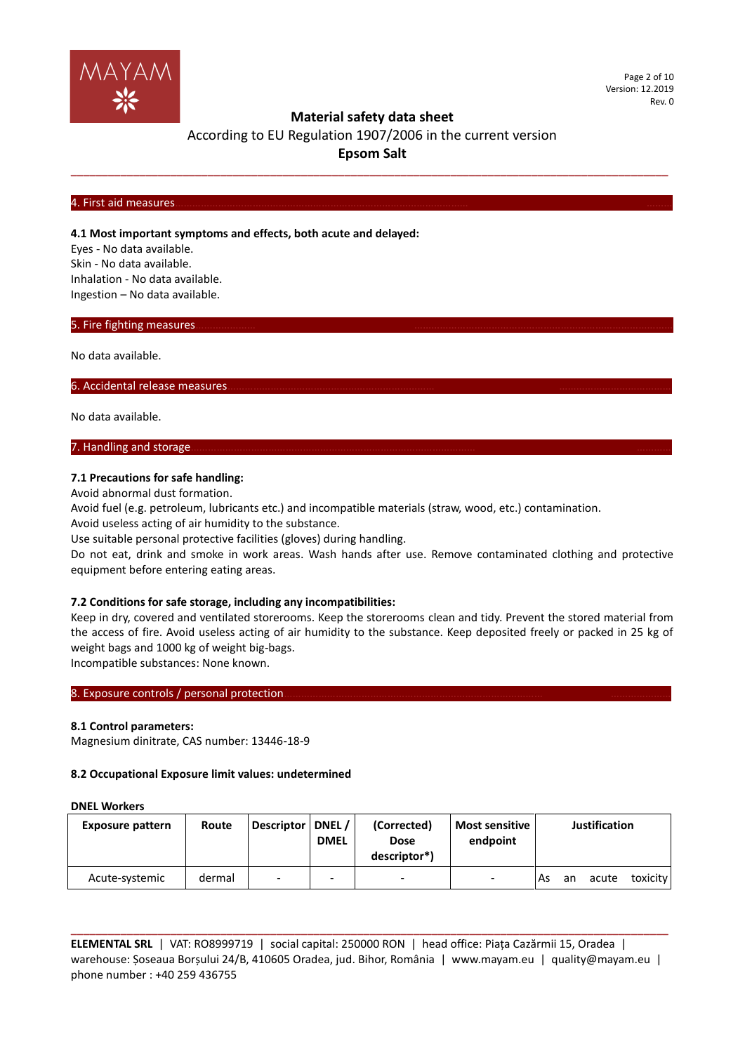

Page 2 of 10 Version: 12.2019 Rev. 0

## **Material safety data sheet**

# According to EU Regulation 1907/2006 in the current version **Epsom Salt**

**\_\_\_\_\_\_\_\_\_\_\_\_\_\_\_\_\_\_\_\_\_\_\_\_\_\_\_\_\_\_\_\_\_\_\_\_\_\_\_\_\_\_\_\_\_\_\_\_\_\_\_\_\_\_\_\_\_\_\_\_\_\_\_\_\_\_\_\_\_\_\_\_\_\_\_\_\_\_\_\_\_\_\_\_\_\_\_\_\_\_\_\_\_\_\_\_**

#### 4. First aid measures………………………………………………………………………………………… ………

## **4.1 Most important symptoms and effects, both acute and delayed:**

Eyes - No data available. Skin - No data available. Inhalation - No data available. Ingestion – No data available.

## 5. Fire fighting measures.

No data available.

#### 6. Accidental release measures.

No data available.

## 7. Handling and storage.

## **7.1 Precautions for safe handling:**

Avoid abnormal dust formation.

Avoid fuel (e.g. petroleum, lubricants etc.) and incompatible materials (straw, wood, etc.) contamination.

Avoid useless acting of air humidity to the substance.

Use suitable personal protective facilities (gloves) during handling.

Do not eat, drink and smoke in work areas. Wash hands after use. Remove contaminated clothing and protective equipment before entering eating areas.

## **7.2 Conditions for safe storage, including any incompatibilities:**

Keep in dry, covered and ventilated storerooms. Keep the storerooms clean and tidy. Prevent the stored material from the access of fire. Avoid useless acting of air humidity to the substance. Keep deposited freely or packed in 25 kg of weight bags and 1000 kg of weight big-bags.

Incompatible substances: None known.

## 8. Exposure controls / personal protection

## **8.1 Control parameters:**

Magnesium dinitrate, CAS number: 13446-18-9

## **8.2 Occupational Exposure limit values: undetermined**

#### **DNEL Workers**

| <b>Exposure pattern</b> | Route  | Descriptor   DNEL / | <b>DMEL</b>              | (Corrected)<br><b>Dose</b><br>descriptor*) | <b>Most sensitive</b><br>endpoint |     |    | <b>Justification</b> |          |
|-------------------------|--------|---------------------|--------------------------|--------------------------------------------|-----------------------------------|-----|----|----------------------|----------|
| Acute-systemic          | dermal | -                   | $\overline{\phantom{a}}$ | $\overline{\phantom{0}}$                   | $\overline{\phantom{a}}$          | As: | an | acute                | toxicity |

**ELEMENTAL SRL** | VAT: RO8999719 | social capital: 250000 RON | head office: Piața Cazărmii 15, Oradea | warehouse: Șoseaua Borșului 24/B, 410605 Oradea, jud. Bihor, România | www.mayam.eu | quality@mayam.eu | phone number : +40 259 436755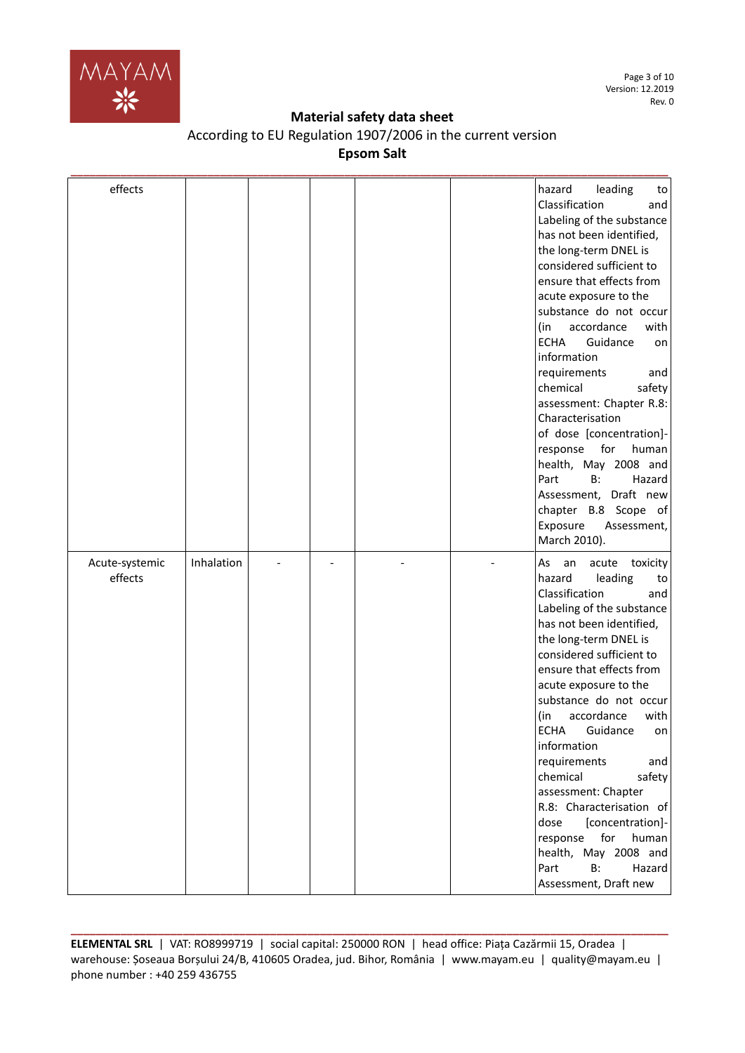

Page 3 of 10 Version: 12.2019 Rev. 0

## **Material safety data sheet**

| According to EU Regulation 1907/2006 in the current version |  |
|-------------------------------------------------------------|--|
| <b>Epsom Salt</b>                                           |  |

| effects                   |            |  |  | leading<br>hazard<br>to<br>Classification<br>and<br>Labeling of the substance<br>has not been identified,<br>the long-term DNEL is<br>considered sufficient to<br>ensure that effects from<br>acute exposure to the<br>substance do not occur<br>accordance<br>with<br>(in<br>Guidance<br><b>ECHA</b><br>on<br>information<br>requirements<br>and<br>chemical<br>safety<br>assessment: Chapter R.8:<br>Characterisation<br>of dose [concentration]-<br>for<br>response<br>human<br>health, May 2008 and<br>Part<br>B:<br>Hazard<br>Assessment, Draft new<br>chapter B.8 Scope of<br>Exposure<br>Assessment,<br>March 2010). |
|---------------------------|------------|--|--|-----------------------------------------------------------------------------------------------------------------------------------------------------------------------------------------------------------------------------------------------------------------------------------------------------------------------------------------------------------------------------------------------------------------------------------------------------------------------------------------------------------------------------------------------------------------------------------------------------------------------------|
| Acute-systemic<br>effects | Inhalation |  |  | acute toxicity<br>As<br>an<br>leading<br>hazard<br>to<br>Classification<br>and<br>Labeling of the substance<br>has not been identified,<br>the long-term DNEL is<br>considered sufficient to<br>ensure that effects from<br>acute exposure to the<br>substance do not occur<br>accordance<br>(in<br>with<br>ECHA<br>Guidance<br>on<br>information<br>requirements<br>and<br>chemical<br>safety<br>assessment: Chapter<br>R.8: Characterisation of<br>[concentration]-<br>dose<br>for<br>human<br>response<br>health, May 2008 and<br>Part<br>B:<br>Hazard<br>Assessment, Draft new                                          |

**ELEMENTAL SRL** | VAT: RO8999719 | social capital: 250000 RON | head office: Piața Cazărmii 15, Oradea | warehouse: Șoseaua Borșului 24/B, 410605 Oradea, jud. Bihor, România | www.mayam.eu | quality@mayam.eu | phone number : +40 259 436755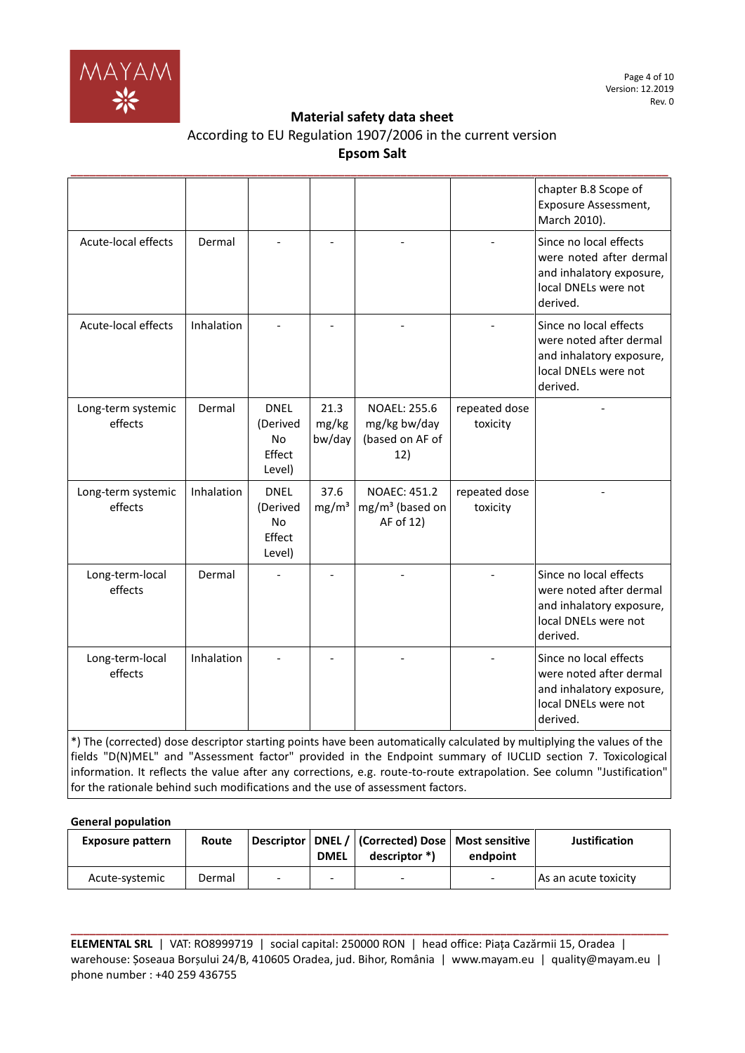

| According to EU Regulation 1907/2006 in the current version |
|-------------------------------------------------------------|
| <b>Epsom Salt</b>                                           |

|                               |            |                                                   |                           |                                                               |                           | chapter B.8 Scope of<br>Exposure Assessment,<br>March 2010).                                                      |
|-------------------------------|------------|---------------------------------------------------|---------------------------|---------------------------------------------------------------|---------------------------|-------------------------------------------------------------------------------------------------------------------|
| Acute-local effects           | Dermal     |                                                   |                           |                                                               |                           | Since no local effects<br>were noted after dermal<br>and inhalatory exposure,<br>local DNELs were not<br>derived. |
| Acute-local effects           | Inhalation |                                                   |                           |                                                               |                           | Since no local effects<br>were noted after dermal<br>and inhalatory exposure,<br>local DNELs were not<br>derived. |
| Long-term systemic<br>effects | Dermal     | <b>DNEL</b><br>(Derived<br>No<br>Effect<br>Level) | 21.3<br>mg/kg<br>bw/day   | <b>NOAEL: 255.6</b><br>mg/kg bw/day<br>(based on AF of<br>12) | repeated dose<br>toxicity |                                                                                                                   |
| Long-term systemic<br>effects | Inhalation | <b>DNEL</b><br>(Derived<br>No<br>Effect<br>Level) | 37.6<br>mg/m <sup>3</sup> | <b>NOAEC: 451.2</b><br>$mg/m3$ (based on<br>AF of 12)         | repeated dose<br>toxicity |                                                                                                                   |
| Long-term-local<br>effects    | Dermal     |                                                   |                           |                                                               |                           | Since no local effects                                                                                            |
|                               |            |                                                   |                           |                                                               |                           | were noted after dermal<br>and inhalatory exposure,<br>local DNELs were not<br>derived.                           |
| Long-term-local<br>effects    | Inhalation |                                                   |                           |                                                               |                           | Since no local effects<br>were noted after dermal<br>and inhalatory exposure,<br>local DNELs were not<br>derived. |

**General population**

| <b>Exposure pattern</b> | Route  |   | <b>DMEL</b> | Descriptor   DNEL /   (Corrected) Dose   Most sensitive  <br>descriptor *) | endpoint                 | <b>Justification</b> |
|-------------------------|--------|---|-------------|----------------------------------------------------------------------------|--------------------------|----------------------|
| Acute-systemic          | Dermal | - |             | -                                                                          | $\overline{\phantom{0}}$ | As an acute toxicity |

**ELEMENTAL SRL** | VAT: RO8999719 | social capital: 250000 RON | head office: Piața Cazărmii 15, Oradea | warehouse: Șoseaua Borșului 24/B, 410605 Oradea, jud. Bihor, România | www.mayam.eu | quality@mayam.eu | phone number : +40 259 436755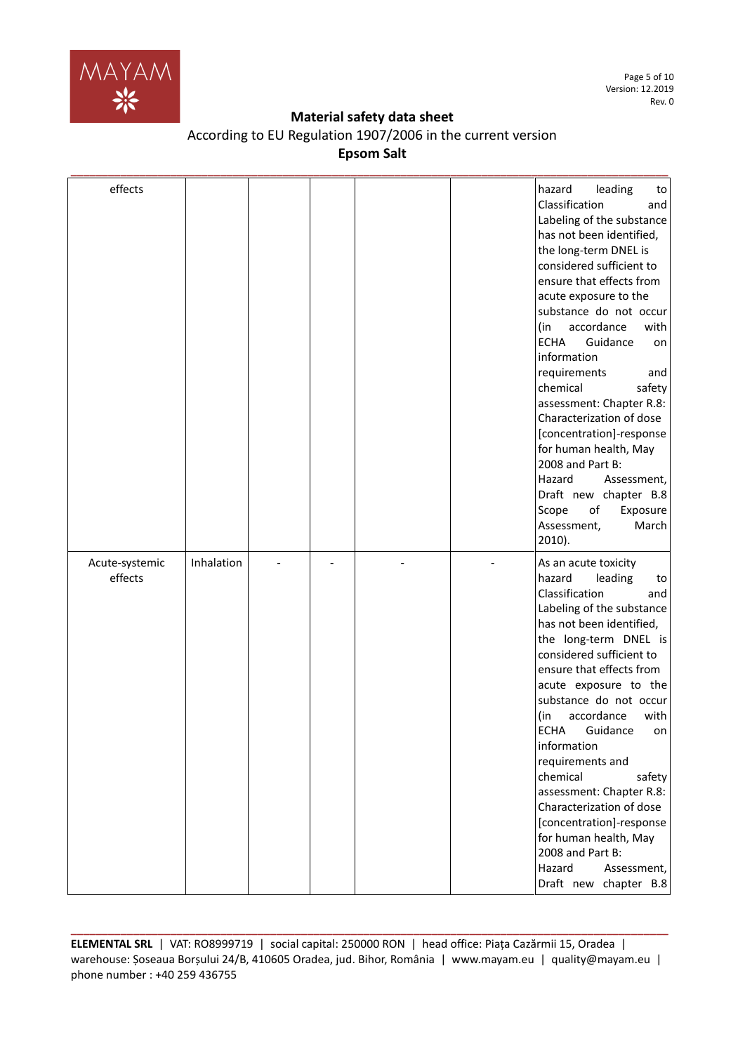

Page 5 of 10 Version: 12.2019 Rev. 0

## **Material safety data sheet**

| According to EU Regulation 1907/2006 in the current version |
|-------------------------------------------------------------|
| Epsom Salt                                                  |

| effects                   |            |  |  | hazard<br>leading<br>to<br>Classification<br>and<br>Labeling of the substance<br>has not been identified,<br>the long-term DNEL is<br>considered sufficient to<br>ensure that effects from<br>acute exposure to the<br>substance do not occur<br>accordance<br>with<br>(in<br>Guidance<br><b>ECHA</b><br>on<br>information<br>requirements<br>and<br>chemical<br>safety<br>assessment: Chapter R.8:<br>Characterization of dose<br>[concentration]-response<br>for human health, May<br>2008 and Part B:<br>Hazard<br>Assessment,<br>Draft new chapter B.8<br>Scope<br>of<br>Exposure<br>Assessment,<br>March<br>2010). |
|---------------------------|------------|--|--|-------------------------------------------------------------------------------------------------------------------------------------------------------------------------------------------------------------------------------------------------------------------------------------------------------------------------------------------------------------------------------------------------------------------------------------------------------------------------------------------------------------------------------------------------------------------------------------------------------------------------|
| Acute-systemic<br>effects | Inhalation |  |  | As an acute toxicity<br>hazard<br>leading<br>to<br>Classification<br>and<br>Labeling of the substance<br>has not been identified,<br>the long-term DNEL is<br>considered sufficient to<br>ensure that effects from<br>acute exposure to the<br>substance do not occur<br>accordance<br>(in<br>with<br><b>ECHA</b><br>Guidance<br>on<br>information<br>requirements and<br>chemical<br>safety<br>assessment: Chapter R.8:<br>Characterization of dose<br>[concentration]-response<br>for human health, May<br>2008 and Part B:<br>Assessment,<br>Hazard<br>Draft new chapter B.8                                         |

**ELEMENTAL SRL** | VAT: RO8999719 | social capital: 250000 RON | head office: Piața Cazărmii 15, Oradea | warehouse: Șoseaua Borșului 24/B, 410605 Oradea, jud. Bihor, România | www.mayam.eu | quality@mayam.eu | phone number : +40 259 436755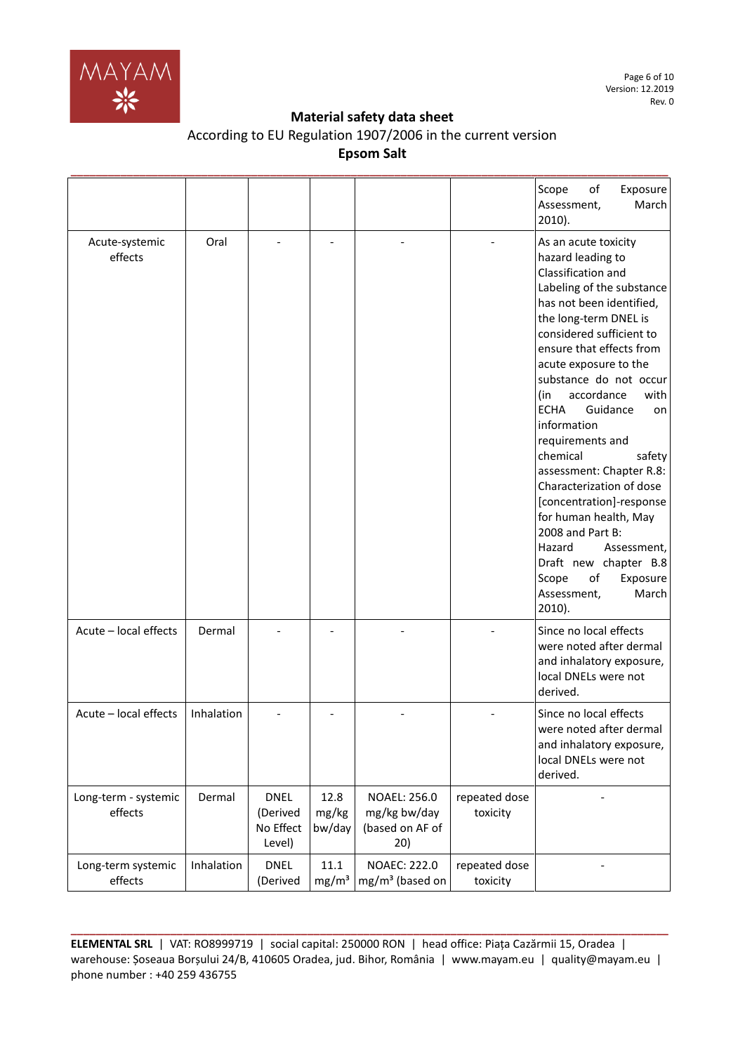

| According to EU Regulation 1907/2006 in the current version |
|-------------------------------------------------------------|
| <b>Epsom Salt</b>                                           |

|                                 |            |                                                |                               |                                                               |                           | Scope<br>of<br>Exposure<br>March<br>Assessment,<br>2010).                                                                                                                                                                                                                                                                                                                                                                                                                                                                                                                                                                              |
|---------------------------------|------------|------------------------------------------------|-------------------------------|---------------------------------------------------------------|---------------------------|----------------------------------------------------------------------------------------------------------------------------------------------------------------------------------------------------------------------------------------------------------------------------------------------------------------------------------------------------------------------------------------------------------------------------------------------------------------------------------------------------------------------------------------------------------------------------------------------------------------------------------------|
| Acute-systemic<br>effects       | Oral       |                                                |                               |                                                               |                           | As an acute toxicity<br>hazard leading to<br>Classification and<br>Labeling of the substance<br>has not been identified,<br>the long-term DNEL is<br>considered sufficient to<br>ensure that effects from<br>acute exposure to the<br>substance do not occur<br>accordance<br>with<br>(in<br><b>ECHA</b><br>Guidance<br>on<br>information<br>requirements and<br>chemical<br>safety<br>assessment: Chapter R.8:<br>Characterization of dose<br>[concentration]-response<br>for human health, May<br>2008 and Part B:<br>Hazard<br>Assessment,<br>Draft new chapter B.8<br>Scope<br>of<br>Exposure<br>March<br>Assessment,<br>$2010$ ). |
| Acute - local effects           | Dermal     |                                                |                               |                                                               |                           | Since no local effects<br>were noted after dermal<br>and inhalatory exposure,<br>local DNELs were not<br>derived.                                                                                                                                                                                                                                                                                                                                                                                                                                                                                                                      |
| Acute - local effects           | Inhalation |                                                |                               |                                                               |                           | Since no local effects<br>were noted after dermal<br>and inhalatory exposure,<br>local DNELs were not<br>derived.                                                                                                                                                                                                                                                                                                                                                                                                                                                                                                                      |
| Long-term - systemic<br>effects | Dermal     | <b>DNEL</b><br>(Derived<br>No Effect<br>Level) | 12.8<br>mg/kg<br>bw/day       | <b>NOAEL: 256.0</b><br>mg/kg bw/day<br>(based on AF of<br>20) | repeated dose<br>toxicity |                                                                                                                                                                                                                                                                                                                                                                                                                                                                                                                                                                                                                                        |
| Long-term systemic<br>effects   | Inhalation | <b>DNEL</b><br>(Derived                        | $11.1\,$<br>mg/m <sup>3</sup> | <b>NOAEC: 222.0</b><br>$mg/m3$ (based on                      | repeated dose<br>toxicity |                                                                                                                                                                                                                                                                                                                                                                                                                                                                                                                                                                                                                                        |

**ELEMENTAL SRL** | VAT: RO8999719 | social capital: 250000 RON | head office: Piața Cazărmii 15, Oradea | warehouse: Șoseaua Borșului 24/B, 410605 Oradea, jud. Bihor, România | www.mayam.eu | quality@mayam.eu | phone number : +40 259 436755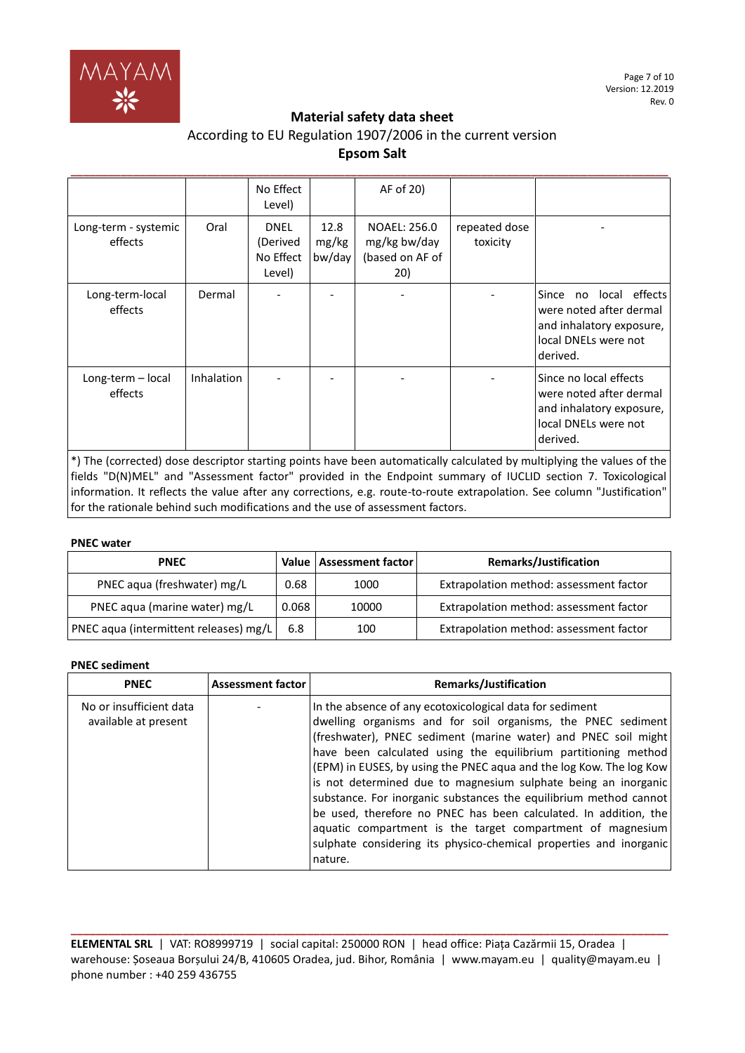

# According to EU Regulation 1907/2006 in the current version **Epsom Salt**

|                                 |                   | No Effect<br>Level)                            |                         | AF of 20)                                              |                           |                                                                                                                      |
|---------------------------------|-------------------|------------------------------------------------|-------------------------|--------------------------------------------------------|---------------------------|----------------------------------------------------------------------------------------------------------------------|
| Long-term - systemic<br>effects | Oral              | <b>DNEL</b><br>(Derived<br>No Effect<br>Level) | 12.8<br>mg/kg<br>bw/day | NOAEL: 256.0<br>mg/kg bw/day<br>(based on AF of<br>20) | repeated dose<br>toxicity |                                                                                                                      |
| Long-term-local<br>effects      | Dermal            |                                                |                         |                                                        |                           | no local effects<br>Since<br>were noted after dermal<br>and inhalatory exposure,<br>local DNELs were not<br>derived. |
| Long-term - local<br>effects    | <b>Inhalation</b> |                                                |                         |                                                        |                           | Since no local effects<br>were noted after dermal<br>and inhalatory exposure,<br>local DNELs were not<br>derived.    |

\*) The (corrected) dose descriptor starting points have been automatically calculated by multiplying the values of the fields "D(N)MEL" and "Assessment factor" provided in the Endpoint summary of IUCLID section 7. Toxicological information. It reflects the value after any corrections, e.g. route-to-route extrapolation. See column "Justification" for the rationale behind such modifications and the use of assessment factors.

## **PNEC water**

| <b>PNEC</b>                            |       | Value   Assessment factor | <b>Remarks/Justification</b>            |
|----------------------------------------|-------|---------------------------|-----------------------------------------|
| PNEC aqua (freshwater) mg/L            | 0.68  | 1000                      | Extrapolation method: assessment factor |
| PNEC aqua (marine water) mg/L          | 0.068 | 10000                     | Extrapolation method: assessment factor |
| PNEC aqua (intermittent releases) mg/L | 6.8   | 100                       | Extrapolation method: assessment factor |

## **PNEC sediment**

| <b>PNEC</b>                                     | <b>Assessment factor</b> | Remarks/Justification                                                                                                                                                                                                                                                                                                                                                                                                                                                                                                                                                                                                                                                                         |
|-------------------------------------------------|--------------------------|-----------------------------------------------------------------------------------------------------------------------------------------------------------------------------------------------------------------------------------------------------------------------------------------------------------------------------------------------------------------------------------------------------------------------------------------------------------------------------------------------------------------------------------------------------------------------------------------------------------------------------------------------------------------------------------------------|
| No or insufficient data<br>available at present |                          | In the absence of any ecotoxicological data for sediment<br>dwelling organisms and for soil organisms, the PNEC sediment<br>(freshwater), PNEC sediment (marine water) and PNEC soil might<br>have been calculated using the equilibrium partitioning method<br>(EPM) in EUSES, by using the PNEC aqua and the log Kow. The log Kow<br>is not determined due to magnesium sulphate being an inorganic<br>substance. For inorganic substances the equilibrium method cannot<br>be used, therefore no PNEC has been calculated. In addition, the<br>aquatic compartment is the target compartment of magnesium<br>sulphate considering its physico-chemical properties and inorganic<br>nature. |

**ELEMENTAL SRL** | VAT: RO8999719 | social capital: 250000 RON | head office: Piața Cazărmii 15, Oradea | warehouse: Șoseaua Borșului 24/B, 410605 Oradea, jud. Bihor, România | www.mayam.eu | quality@mayam.eu | phone number : +40 259 436755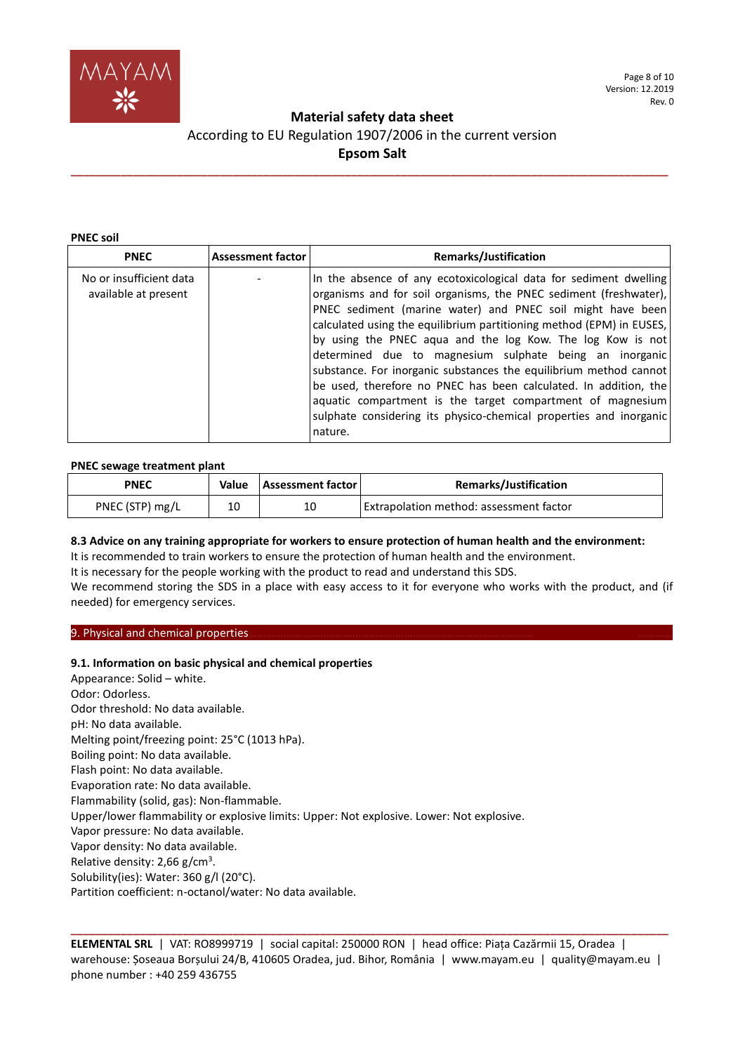

# **Material safety data sheet**  According to EU Regulation 1907/2006 in the current version **Epsom Salt**

**\_\_\_\_\_\_\_\_\_\_\_\_\_\_\_\_\_\_\_\_\_\_\_\_\_\_\_\_\_\_\_\_\_\_\_\_\_\_\_\_\_\_\_\_\_\_\_\_\_\_\_\_\_\_\_\_\_\_\_\_\_\_\_\_\_\_\_\_\_\_\_\_\_\_\_\_\_\_\_\_\_\_\_\_\_\_\_\_\_\_\_\_\_\_\_\_**

#### **PNEC soil**

| <b>PNEC</b>                                     | <b>Assessment factor</b> | <b>Remarks/Justification</b>                                                                                                                                                                                                                                                                                                                                                                                                                                                                                                                                                                                                                                                                  |
|-------------------------------------------------|--------------------------|-----------------------------------------------------------------------------------------------------------------------------------------------------------------------------------------------------------------------------------------------------------------------------------------------------------------------------------------------------------------------------------------------------------------------------------------------------------------------------------------------------------------------------------------------------------------------------------------------------------------------------------------------------------------------------------------------|
| No or insufficient data<br>available at present |                          | In the absence of any ecotoxicological data for sediment dwelling<br>organisms and for soil organisms, the PNEC sediment (freshwater),<br>PNEC sediment (marine water) and PNEC soil might have been<br>calculated using the equilibrium partitioning method (EPM) in EUSES,<br>by using the PNEC aqua and the log Kow. The log Kow is not<br>determined due to magnesium sulphate being an inorganic<br>substance. For inorganic substances the equilibrium method cannot<br>be used, therefore no PNEC has been calculated. In addition, the<br>aquatic compartment is the target compartment of magnesium<br>sulphate considering its physico-chemical properties and inorganic<br>nature. |

## **PNEC sewage treatment plant**

| <b>PNEC</b>     | Value | <b>Assessment factor</b> | <b>Remarks/Justification</b>            |
|-----------------|-------|--------------------------|-----------------------------------------|
| PNEC (STP) mg/L | 10    | 10                       | Extrapolation method: assessment factor |

## **8.3 Advice on any training appropriate for workers to ensure protection of human health and the environment:**

It is recommended to train workers to ensure the protection of human health and the environment.

It is necessary for the people working with the product to read and understand this SDS.

We recommend storing the SDS in a place with easy access to it for everyone who works with the product, and (if needed) for emergency services.

## 9. Physical and chemical properties.

## **9.1. Information on basic physical and chemical properties**

Appearance: Solid – white. Odor: Odorless. Odor threshold: No data available. pH: No data available. Melting point/freezing point: 25°C (1013 hPa). Boiling point: No data available. Flash point: No data available. Evaporation rate: No data available. Flammability (solid, gas): Non-flammable. Upper/lower flammability or explosive limits: Upper: Not explosive. Lower: Not explosive. Vapor pressure: No data available. Vapor density: No data available. Relative density: 2,66 g/cm<sup>3</sup>. Solubility(ies): Water: 360 g/l (20°C). Partition coefficient: n-octanol/water: No data available.

**ELEMENTAL SRL** | VAT: RO8999719 | social capital: 250000 RON | head office: Piața Cazărmii 15, Oradea | warehouse: Șoseaua Borșului 24/B, 410605 Oradea, jud. Bihor, România | www.mayam.eu | quality@mayam.eu | phone number : +40 259 436755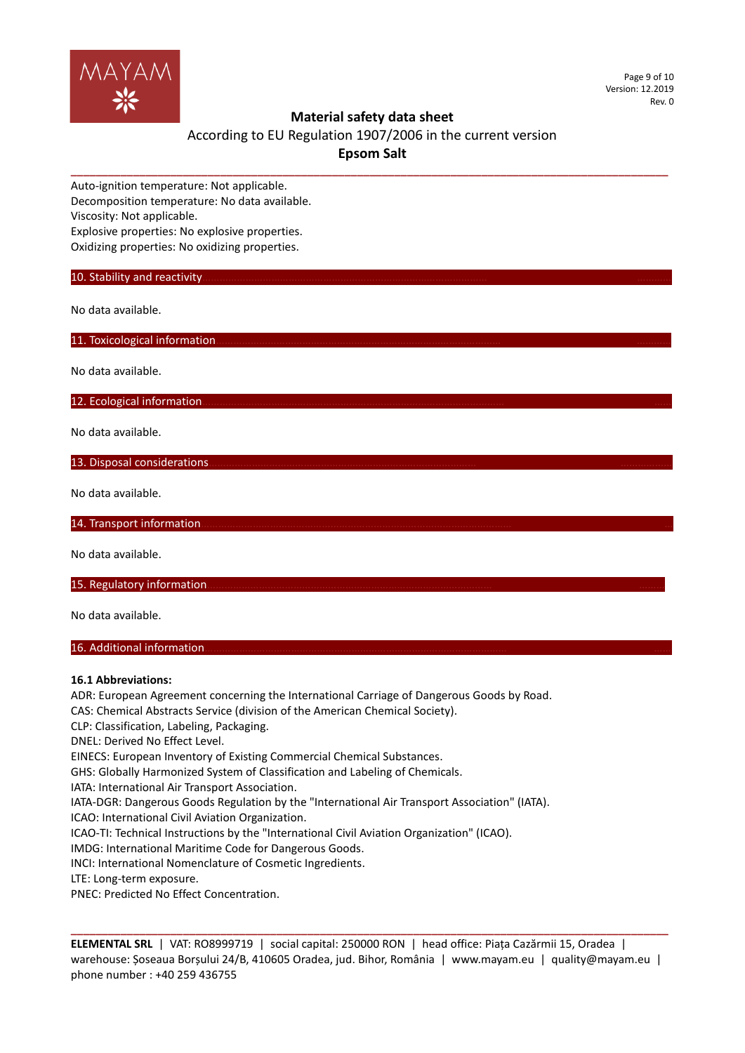

Page 9 of 10 Version: 12.2019 Rev. 0

# **Material safety data sheet**

# According to EU Regulation 1907/2006 in the current version **Epsom Salt**

**\_\_\_\_\_\_\_\_\_\_\_\_\_\_\_\_\_\_\_\_\_\_\_\_\_\_\_\_\_\_\_\_\_\_\_\_\_\_\_\_\_\_\_\_\_\_\_\_\_\_\_\_\_\_\_\_\_\_\_\_\_\_\_\_\_\_\_\_\_\_\_\_\_\_\_\_\_\_\_\_\_\_\_\_\_\_\_\_\_\_\_\_\_\_\_\_**

Auto-ignition temperature: Not applicable. Decomposition temperature: No data available. Viscosity: Not applicable. Explosive properties: No explosive properties. Oxidizing properties: No oxidizing properties.

10. Stability and reactivity.

No data available.

11. Toxicological information.

No data available.

12. Ecological information.

No data available.

13. Disposal considerations.

No data available.

14. Transport information.

No data available.

15. Regulatory information.

No data available.

## 16. Additional information.

## **16.1 Abbreviations:**

ADR: European Agreement concerning the International Carriage of Dangerous Goods by Road.

CAS: Chemical Abstracts Service (division of the American Chemical Society).

CLP: Classification, Labeling, Packaging.

DNEL: Derived No Effect Level.

EINECS: European Inventory of Existing Commercial Chemical Substances.

GHS: Globally Harmonized System of Classification and Labeling of Chemicals.

IATA: International Air Transport Association.

IATA-DGR: Dangerous Goods Regulation by the "International Air Transport Association" (IATA).

ICAO: International Civil Aviation Organization.

ICAO-TI: Technical Instructions by the "International Civil Aviation Organization" (ICAO).

IMDG: International Maritime Code for Dangerous Goods.

INCI: International Nomenclature of Cosmetic Ingredients.

LTE: Long-term exposure.

PNEC: Predicted No Effect Concentration.

**ELEMENTAL SRL** | VAT: RO8999719 | social capital: 250000 RON | head office: Piața Cazărmii 15, Oradea | warehouse: Șoseaua Borșului 24/B, 410605 Oradea, jud. Bihor, România | www.mayam.eu | quality@mayam.eu | phone number : +40 259 436755